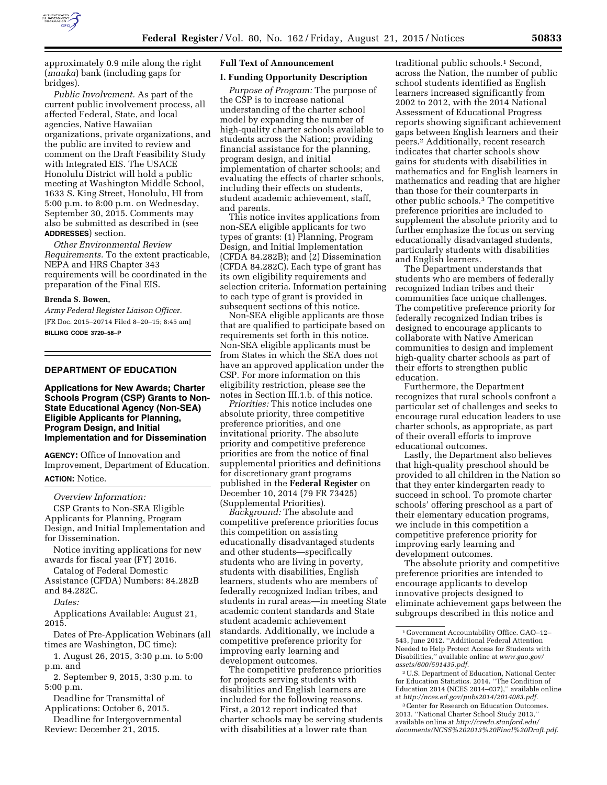

approximately 0.9 mile along the right (*mauka*) bank (including gaps for bridges).

*Public Involvement.* As part of the current public involvement process, all affected Federal, State, and local agencies, Native Hawaiian organizations, private organizations, and the public are invited to review and comment on the Draft Feasibility Study with Integrated EIS. The USACE Honolulu District will hold a public meeting at Washington Middle School, 1633 S. King Street, Honolulu, HI from 5:00 p.m. to 8:00 p.m. on Wednesday, September 30, 2015. Comments may also be submitted as described in (see **ADDRESSES**) section.

*Other Environmental Review Requirements.* To the extent practicable, NEPA and HRS Chapter 343 requirements will be coordinated in the preparation of the Final EIS.

#### **Brenda S. Bowen,**

*Army Federal Register Liaison Officer.*  [FR Doc. 2015–20714 Filed 8–20–15; 8:45 am] **BILLING CODE 3720–58–P** 

# **DEPARTMENT OF EDUCATION**

**Applications for New Awards; Charter Schools Program (CSP) Grants to Non-State Educational Agency (Non-SEA) Eligible Applicants for Planning, Program Design, and Initial Implementation and for Dissemination** 

**AGENCY:** Office of Innovation and Improvement, Department of Education. **ACTION:** Notice.

#### *Overview Information:*

CSP Grants to Non-SEA Eligible Applicants for Planning, Program Design, and Initial Implementation and for Dissemination.

Notice inviting applications for new awards for fiscal year (FY) 2016.

Catalog of Federal Domestic Assistance (CFDA) Numbers: 84.282B and 84.282C.

*Dates:* 

Applications Available: August 21, 2015.

Dates of Pre-Application Webinars (all times are Washington, DC time):

1. August 26, 2015, 3:30 p.m. to 5:00 p.m. and

2. September 9, 2015, 3:30 p.m. to 5:00 p.m.

Deadline for Transmittal of

Applications: October 6, 2015.

Deadline for Intergovernmental Review: December 21, 2015.

# **Full Text of Announcement**

### **I. Funding Opportunity Description**

*Purpose of Program:* The purpose of the CSP is to increase national understanding of the charter school model by expanding the number of high-quality charter schools available to students across the Nation; providing financial assistance for the planning, program design, and initial implementation of charter schools; and evaluating the effects of charter schools, including their effects on students, student academic achievement, staff, and parents.

This notice invites applications from non-SEA eligible applicants for two types of grants: (1) Planning, Program Design, and Initial Implementation (CFDA 84.282B); and (2) Dissemination (CFDA 84.282C). Each type of grant has its own eligibility requirements and selection criteria. Information pertaining to each type of grant is provided in subsequent sections of this notice.

Non-SEA eligible applicants are those that are qualified to participate based on requirements set forth in this notice. Non-SEA eligible applicants must be from States in which the SEA does not have an approved application under the CSP. For more information on this eligibility restriction, please see the notes in Section III.1.b. of this notice.

*Priorities:* This notice includes one absolute priority, three competitive preference priorities, and one invitational priority. The absolute priority and competitive preference priorities are from the notice of final supplemental priorities and definitions for discretionary grant programs published in the **Federal Register** on December 10, 2014 (79 FR 73425) (Supplemental Priorities).

*Background:* The absolute and competitive preference priorities focus this competition on assisting educationally disadvantaged students and other students—specifically students who are living in poverty, students with disabilities, English learners, students who are members of federally recognized Indian tribes, and students in rural areas—in meeting State academic content standards and State student academic achievement standards. Additionally, we include a competitive preference priority for improving early learning and development outcomes.

The competitive preference priorities for projects serving students with disabilities and English learners are included for the following reasons. First, a 2012 report indicated that charter schools may be serving students with disabilities at a lower rate than

traditional public schools.<sup>1</sup> Second, across the Nation, the number of public school students identified as English learners increased significantly from 2002 to 2012, with the 2014 National Assessment of Educational Progress reports showing significant achievement gaps between English learners and their peers.2 Additionally, recent research indicates that charter schools show gains for students with disabilities in mathematics and for English learners in mathematics and reading that are higher than those for their counterparts in other public schools.3 The competitive preference priorities are included to supplement the absolute priority and to further emphasize the focus on serving educationally disadvantaged students, particularly students with disabilities and English learners.

The Department understands that students who are members of federally recognized Indian tribes and their communities face unique challenges. The competitive preference priority for federally recognized Indian tribes is designed to encourage applicants to collaborate with Native American communities to design and implement high-quality charter schools as part of their efforts to strengthen public education.

Furthermore, the Department recognizes that rural schools confront a particular set of challenges and seeks to encourage rural education leaders to use charter schools, as appropriate, as part of their overall efforts to improve educational outcomes.

Lastly, the Department also believes that high-quality preschool should be provided to all children in the Nation so that they enter kindergarten ready to succeed in school. To promote charter schools' offering preschool as a part of their elementary education programs, we include in this competition a competitive preference priority for improving early learning and development outcomes.

The absolute priority and competitive preference priorities are intended to encourage applicants to develop innovative projects designed to eliminate achievement gaps between the subgroups described in this notice and

3Center for Research on Education Outcomes. 2013. ''National Charter School Study 2013,'' available online at *[http://credo.stanford.edu/](http://credo.stanford.edu/documents/NCSS%202013%20Final%20Draft.pdf) [documents/NCSS%202013%20Final%20Draft.pdf](http://credo.stanford.edu/documents/NCSS%202013%20Final%20Draft.pdf)*.

<sup>1</sup> Government Accountability Office. GAO–12– 543, June 2012. ''Additional Federal Attention Needed to Help Protect Access for Students with Disabilities,'' available online at *[www.gao.gov/](http://www.gao.gov/assets/600/591435.pdf) [assets/600/591435.pdf](http://www.gao.gov/assets/600/591435.pdf)*.

<sup>2</sup>U.S. Department of Education, National Center for Education Statistics. 2014. ''The Condition of Education 2014 (NCES 2014–037),'' available online at *<http://nces.ed.gov/pubs2014/2014083.pdf>*.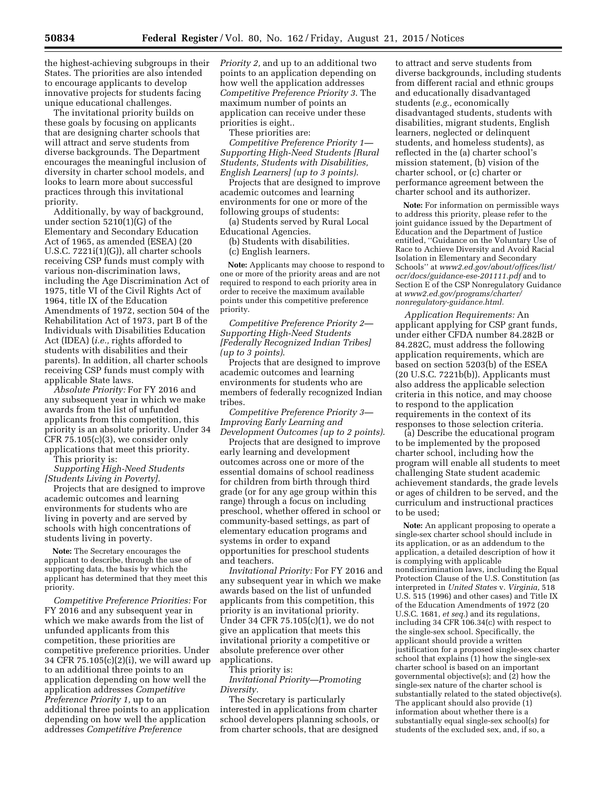the highest-achieving subgroups in their States. The priorities are also intended to encourage applicants to develop innovative projects for students facing unique educational challenges.

The invitational priority builds on these goals by focusing on applicants that are designing charter schools that will attract and serve students from diverse backgrounds. The Department encourages the meaningful inclusion of diversity in charter school models, and looks to learn more about successful practices through this invitational priority.

Additionally, by way of background, under section 5210(1)(G) of the Elementary and Secondary Education Act of 1965, as amended (ESEA) (20 U.S.C. 7221i(1)(G)), all charter schools receiving CSP funds must comply with various non-discrimination laws, including the Age Discrimination Act of 1975, title VI of the Civil Rights Act of 1964, title IX of the Education Amendments of 1972, section 504 of the Rehabilitation Act of 1973, part B of the Individuals with Disabilities Education Act (IDEA) (*i.e.,* rights afforded to students with disabilities and their parents). In addition, all charter schools receiving CSP funds must comply with applicable State laws.

*Absolute Priority:* For FY 2016 and any subsequent year in which we make awards from the list of unfunded applicants from this competition, this priority is an absolute priority. Under 34  $CFR$  75.105 $(c)(3)$ , we consider only applications that meet this priority.

This priority is:

*Supporting High-Need Students [Students Living in Poverty]*.

Projects that are designed to improve academic outcomes and learning environments for students who are living in poverty and are served by schools with high concentrations of students living in poverty.

**Note:** The Secretary encourages the applicant to describe, through the use of supporting data, the basis by which the applicant has determined that they meet this priority.

*Competitive Preference Priorities:* For FY 2016 and any subsequent year in which we make awards from the list of unfunded applicants from this competition, these priorities are competitive preference priorities. Under 34 CFR 75.105(c)(2)(i), we will award up to an additional three points to an application depending on how well the application addresses *Competitive Preference Priority 1,* up to an additional three points to an application depending on how well the application addresses *Competitive Preference* 

*Priority 2,* and up to an additional two points to an application depending on how well the application addresses *Competitive Preference Priority 3*. The maximum number of points an application can receive under these priorities is eight..

These priorities are:

*Competitive Preference Priority 1— Supporting High-Need Students [Rural Students, Students with Disabilities, English Learners] (up to 3 points)*.

Projects that are designed to improve academic outcomes and learning environments for one or more of the following groups of students:

(a) Students served by Rural Local Educational Agencies.

(b) Students with disabilities.

(c) English learners.

**Note:** Applicants may choose to respond to one or more of the priority areas and are not required to respond to each priority area in order to receive the maximum available points under this competitive preference priority.

*Competitive Preference Priority 2— Supporting High-Need Students [Federally Recognized Indian Tribes] (up to 3 points)*.

Projects that are designed to improve academic outcomes and learning environments for students who are members of federally recognized Indian tribes.

*Competitive Preference Priority 3— Improving Early Learning and Development Outcomes (up to 2 points)*.

Projects that are designed to improve early learning and development outcomes across one or more of the essential domains of school readiness for children from birth through third grade (or for any age group within this range) through a focus on including preschool, whether offered in school or community-based settings, as part of elementary education programs and systems in order to expand opportunities for preschool students and teachers.

*Invitational Priority:* For FY 2016 and any subsequent year in which we make awards based on the list of unfunded applicants from this competition, this priority is an invitational priority. Under 34 CFR 75.105(c)(1), we do not give an application that meets this invitational priority a competitive or absolute preference over other applications.

This priority is: *Invitational Priority—Promoting Diversity.* 

The Secretary is particularly interested in applications from charter school developers planning schools, or from charter schools, that are designed

to attract and serve students from diverse backgrounds, including students from different racial and ethnic groups and educationally disadvantaged students (*e.g.,* economically disadvantaged students, students with disabilities, migrant students, English learners, neglected or delinquent students, and homeless students), as reflected in the (a) charter school's mission statement, (b) vision of the charter school, or (c) charter or performance agreement between the charter school and its authorizer.

**Note:** For information on permissible ways to address this priority, please refer to the joint guidance issued by the Department of Education and the Department of Justice entitled, ''Guidance on the Voluntary Use of Race to Achieve Diversity and Avoid Racial Isolation in Elementary and Secondary Schools'' at *[www2.ed.gov/about/offices/list/](http://www2.ed.gov/about/offices/list/ocr/docs/guidance-ese-201111.pdf) [ocr/docs/guidance-ese-201111.pdf](http://www2.ed.gov/about/offices/list/ocr/docs/guidance-ese-201111.pdf)* and to Section E of the CSP Nonregulatory Guidance at *[www2.ed.gov/programs/charter/](http://www2.ed.gov/programs/charter/nonregulatory-guidance.html) [nonregulatory-guidance.html.](http://www2.ed.gov/programs/charter/nonregulatory-guidance.html)* 

*Application Requirements:* An applicant applying for CSP grant funds, under either CFDA number 84.282B or 84.282C, must address the following application requirements, which are based on section 5203(b) of the ESEA (20 U.S.C. 7221b(b)). Applicants must also address the applicable selection criteria in this notice, and may choose to respond to the application requirements in the context of its responses to those selection criteria.

(a) Describe the educational program to be implemented by the proposed charter school, including how the program will enable all students to meet challenging State student academic achievement standards, the grade levels or ages of children to be served, and the curriculum and instructional practices to be used;

**Note:** An applicant proposing to operate a single-sex charter school should include in its application, or as an addendum to the application, a detailed description of how it is complying with applicable nondiscrimination laws, including the Equal Protection Clause of the U.S. Constitution (as interpreted in *United States* v. *Virginia,* 518 U.S. 515 (1996) and other cases) and Title IX of the Education Amendments of 1972 (20 U.S.C. 1681, *et seq.*) and its regulations, including 34 CFR 106.34(c) with respect to the single-sex school. Specifically, the applicant should provide a written justification for a proposed single-sex charter school that explains (1) how the single-sex charter school is based on an important governmental objective(s); and  $(2)$  how the single-sex nature of the charter school is substantially related to the stated objective(s). The applicant should also provide (1) information about whether there is a substantially equal single-sex school(s) for students of the excluded sex, and, if so, a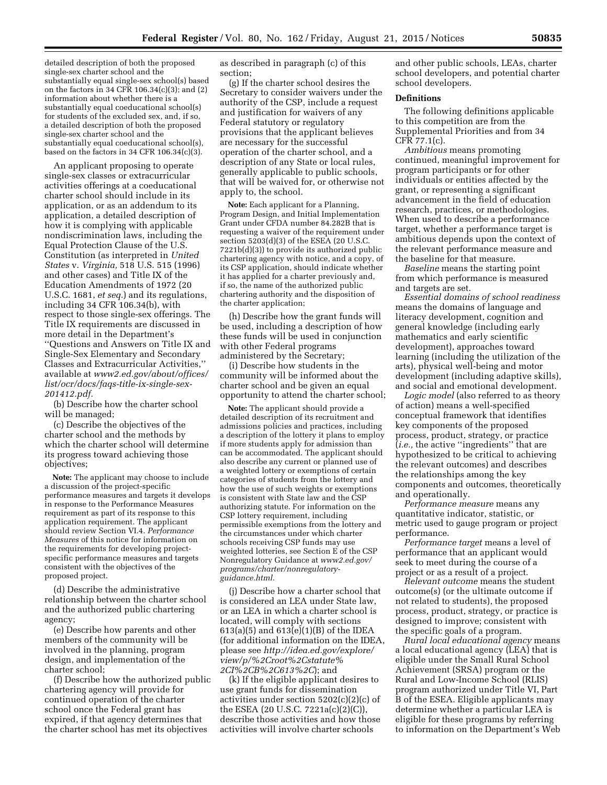detailed description of both the proposed single-sex charter school and the substantially equal single-sex school(s) based on the factors in 34 CFR 106.34(c)(3); and (2) information about whether there is a substantially equal coeducational school(s) for students of the excluded sex, and, if so, a detailed description of both the proposed single-sex charter school and the substantially equal coeducational school(s), based on the factors in 34 CFR 106.34(c)(3).

An applicant proposing to operate single-sex classes or extracurricular activities offerings at a coeducational charter school should include in its application, or as an addendum to its application, a detailed description of how it is complying with applicable nondiscrimination laws, including the Equal Protection Clause of the U.S. Constitution (as interpreted in *United States* v. *Virginia,* 518 U.S. 515 (1996) and other cases) and Title IX of the Education Amendments of 1972 (20 U.S.C. 1681, *et seq.*) and its regulations, including 34 CFR 106.34(b), with respect to those single-sex offerings. The Title IX requirements are discussed in more detail in the Department's ''Questions and Answers on Title IX and Single-Sex Elementary and Secondary Classes and Extracurricular Activities,'' available at *[www2.ed.gov/about/offices/](http://www2.ed.gov/about/offices/list/ocr/docs/faqs-title-ix-single-sex-201412.pdf)  [list/ocr/docs/faqs-title-ix-single-sex-](http://www2.ed.gov/about/offices/list/ocr/docs/faqs-title-ix-single-sex-201412.pdf)[201412.pdf.](http://www2.ed.gov/about/offices/list/ocr/docs/faqs-title-ix-single-sex-201412.pdf)* 

(b) Describe how the charter school will be managed;

(c) Describe the objectives of the charter school and the methods by which the charter school will determine its progress toward achieving those objectives;

**Note:** The applicant may choose to include a discussion of the project-specific performance measures and targets it develops in response to the Performance Measures requirement as part of its response to this application requirement. The applicant should review Section VI.4. *Performance Measures* of this notice for information on the requirements for developing projectspecific performance measures and targets consistent with the objectives of the proposed project.

(d) Describe the administrative relationship between the charter school and the authorized public chartering agency;

(e) Describe how parents and other members of the community will be involved in the planning, program design, and implementation of the charter school;

(f) Describe how the authorized public chartering agency will provide for continued operation of the charter school once the Federal grant has expired, if that agency determines that the charter school has met its objectives

as described in paragraph (c) of this section;

(g) If the charter school desires the Secretary to consider waivers under the authority of the CSP, include a request and justification for waivers of any Federal statutory or regulatory provisions that the applicant believes are necessary for the successful operation of the charter school, and a description of any State or local rules, generally applicable to public schools, that will be waived for, or otherwise not apply to, the school.

**Note:** Each applicant for a Planning, Program Design, and Initial Implementation Grant under CFDA number 84.282B that is requesting a waiver of the requirement under section 5203(d)(3) of the ESEA (20 U.S.C. 7221b(d)(3)) to provide its authorized public chartering agency with notice, and a copy, of its CSP application, should indicate whether it has applied for a charter previously and, if so, the name of the authorized public chartering authority and the disposition of the charter application;

(h) Describe how the grant funds will be used, including a description of how these funds will be used in conjunction with other Federal programs administered by the Secretary;

(i) Describe how students in the community will be informed about the charter school and be given an equal opportunity to attend the charter school;

**Note:** The applicant should provide a detailed description of its recruitment and admissions policies and practices, including a description of the lottery it plans to employ if more students apply for admission than can be accommodated. The applicant should also describe any current or planned use of a weighted lottery or exemptions of certain categories of students from the lottery and how the use of such weights or exemptions is consistent with State law and the CSP authorizing statute. For information on the CSP lottery requirement, including permissible exemptions from the lottery and the circumstances under which charter schools receiving CSP funds may use weighted lotteries, see Section E of the CSP Nonregulatory Guidance at *[www2.ed.gov/](http://www2.ed.gov/programs/charter/nonregulatory-guidance.html) [programs/charter/nonregulatory](http://www2.ed.gov/programs/charter/nonregulatory-guidance.html)[guidance.html.](http://www2.ed.gov/programs/charter/nonregulatory-guidance.html)* 

(j) Describe how a charter school that is considered an LEA under State law, or an LEA in which a charter school is located, will comply with sections 613(a)(5) and 613(e)(1)(B) of the IDEA (for additional information on the IDEA, please see *[http://idea.ed.gov/explore/](http://idea.ed.gov/explore/view/p/%2Croot%2Cstatute%2CI%2CB%2C613%2C) [view/p/%2Croot%2Cstatute%](http://idea.ed.gov/explore/view/p/%2Croot%2Cstatute%2CI%2CB%2C613%2C) [2CI%2CB%2C613%2C](http://idea.ed.gov/explore/view/p/%2Croot%2Cstatute%2CI%2CB%2C613%2C)*); and

(k) If the eligible applicant desires to use grant funds for dissemination activities under section 5202(c)(2)(c) of the ESEA (20 U.S.C. 7221a(c)(2)(C)), describe those activities and how those activities will involve charter schools

and other public schools, LEAs, charter school developers, and potential charter school developers.

# **Definitions**

The following definitions applicable to this competition are from the Supplemental Priorities and from 34 CFR 77.1(c).

*Ambitious* means promoting continued, meaningful improvement for program participants or for other individuals or entities affected by the grant, or representing a significant advancement in the field of education research, practices, or methodologies. When used to describe a performance target, whether a performance target is ambitious depends upon the context of the relevant performance measure and the baseline for that measure.

*Baseline* means the starting point from which performance is measured and targets are set.

*Essential domains of school readiness*  means the domains of language and literacy development, cognition and general knowledge (including early mathematics and early scientific development), approaches toward learning (including the utilization of the arts), physical well-being and motor development (including adaptive skills), and social and emotional development.

*Logic model* (also referred to as theory of action) means a well-specified conceptual framework that identifies key components of the proposed process, product, strategy, or practice (*i.e.,* the active ''ingredients'' that are hypothesized to be critical to achieving the relevant outcomes) and describes the relationships among the key components and outcomes, theoretically and operationally.

*Performance measure* means any quantitative indicator, statistic, or metric used to gauge program or project performance.

*Performance target* means a level of performance that an applicant would seek to meet during the course of a project or as a result of a project.

*Relevant outcome* means the student outcome(s) (or the ultimate outcome if not related to students), the proposed process, product, strategy, or practice is designed to improve; consistent with the specific goals of a program.

*Rural local educational agency* means a local educational agency (LEA) that is eligible under the Small Rural School Achievement (SRSA) program or the Rural and Low-Income School (RLIS) program authorized under Title VI, Part B of the ESEA. Eligible applicants may determine whether a particular LEA is eligible for these programs by referring to information on the Department's Web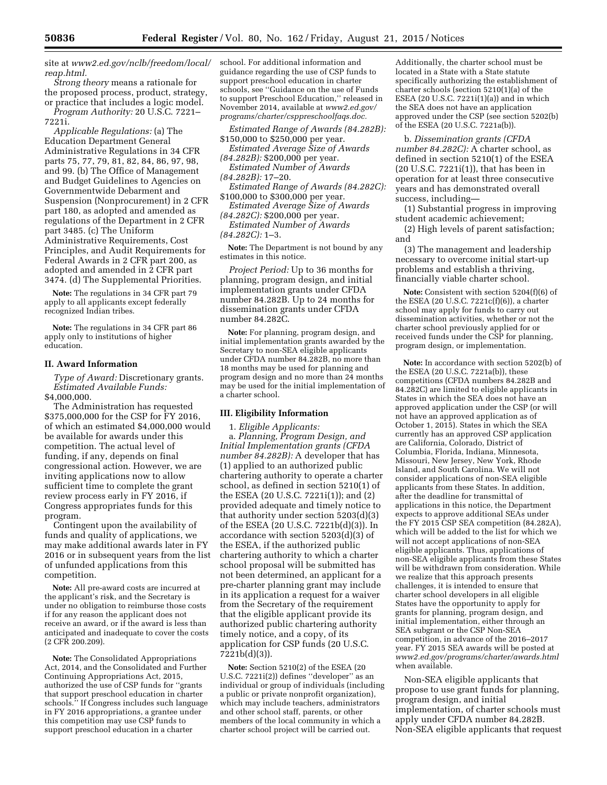site at *[www2.ed.gov/nclb/freedom/local/](http://www2.ed.gov/nclb/freedom/local/reap.html)  [reap.html.](http://www2.ed.gov/nclb/freedom/local/reap.html)* 

*Strong theory* means a rationale for the proposed process, product, strategy, or practice that includes a logic model. *Program Authority:* 20 U.S.C. 7221–

7221i. *Applicable Regulations:* (a) The Education Department General Administrative Regulations in 34 CFR parts 75, 77, 79, 81, 82, 84, 86, 97, 98, and 99. (b) The Office of Management and Budget Guidelines to Agencies on Governmentwide Debarment and Suspension (Nonprocurement) in 2 CFR part 180, as adopted and amended as regulations of the Department in 2 CFR part 3485. (c) The Uniform Administrative Requirements, Cost Principles, and Audit Requirements for Federal Awards in 2 CFR part 200, as adopted and amended in 2 CFR part 3474. (d) The Supplemental Priorities.

**Note:** The regulations in 34 CFR part 79 apply to all applicants except federally recognized Indian tribes.

**Note:** The regulations in 34 CFR part 86 apply only to institutions of higher education.

# **II. Award Information**

*Type of Award:* Discretionary grants. *Estimated Available Funds:*  \$4,000,000.

The Administration has requested \$375,000,000 for the CSP for FY 2016, of which an estimated \$4,000,000 would be available for awards under this competition. The actual level of funding, if any, depends on final congressional action. However, we are inviting applications now to allow sufficient time to complete the grant review process early in FY 2016, if Congress appropriates funds for this program.

Contingent upon the availability of funds and quality of applications, we may make additional awards later in FY 2016 or in subsequent years from the list of unfunded applications from this competition.

**Note:** All pre-award costs are incurred at the applicant's risk, and the Secretary is under no obligation to reimburse those costs if for any reason the applicant does not receive an award, or if the award is less than anticipated and inadequate to cover the costs (2 CFR 200.209).

**Note:** The Consolidated Appropriations Act, 2014, and the Consolidated and Further Continuing Appropriations Act, 2015, authorized the use of CSP funds for ''grants that support preschool education in charter schools.'' If Congress includes such language in FY 2016 appropriations, a grantee under this competition may use CSP funds to support preschool education in a charter

school. For additional information and guidance regarding the use of CSP funds to support preschool education in charter schools, see ''Guidance on the use of Funds to support Preschool Education,'' released in November 2014, available at *[www2.ed.gov/](http://www2.ed.gov/programs/charter/csppreschoolfaqs.doc) [programs/charter/csppreschoolfaqs.doc.](http://www2.ed.gov/programs/charter/csppreschoolfaqs.doc)* 

*Estimated Range of Awards (84.282B):*  \$150,000 to \$250,000 per year.

*Estimated Average Size of Awards (84.282B):* \$200,000 per year.

*Estimated Number of Awards (84.282B):* 17–20.

*Estimated Range of Awards (84.282C):*  \$100,000 to \$300,000 per year.

*Estimated Average Size of Awards (84.282C):* \$200,000 per year.

*Estimated Number of Awards (84.282C):* 1–3.

**Note:** The Department is not bound by any estimates in this notice.

*Project Period:* Up to 36 months for planning, program design, and initial implementation grants under CFDA number 84.282B. Up to 24 months for dissemination grants under CFDA number 84.282C.

**Note:** For planning, program design, and initial implementation grants awarded by the Secretary to non-SEA eligible applicants under CFDA number 84.282B, no more than 18 months may be used for planning and program design and no more than 24 months may be used for the initial implementation of a charter school.

# **III. Eligibility Information**

1. *Eligible Applicants:*  a. *Planning, Program Design, and Initial Implementation grants (CFDA number 84.282B):* A developer that has (1) applied to an authorized public chartering authority to operate a charter school, as defined in section 5210(1) of the ESEA (20 U.S.C. 7221i(1)); and (2) provided adequate and timely notice to that authority under section 5203(d)(3) of the ESEA (20 U.S.C. 7221b(d)(3)). In accordance with section 5203(d)(3) of the ESEA, if the authorized public chartering authority to which a charter school proposal will be submitted has not been determined, an applicant for a pre-charter planning grant may include in its application a request for a waiver from the Secretary of the requirement that the eligible applicant provide its authorized public chartering authority timely notice, and a copy, of its application for CSP funds (20 U.S.C. 7221b(d)(3)).

**Note:** Section 5210(2) of the ESEA (20 U.S.C. 7221i(2)) defines ''developer'' as an individual or group of individuals (including a public or private nonprofit organization), which may include teachers, administrators and other school staff, parents, or other members of the local community in which a charter school project will be carried out.

Additionally, the charter school must be located in a State with a State statute specifically authorizing the establishment of charter schools (section 5210(1)(a) of the ESEA (20 U.S.C. 7221i(1)(a)) and in which the SEA does not have an application approved under the CSP (see section 5202(b) of the ESEA (20 U.S.C. 7221a(b)).

b. *Dissemination grants (CFDA number 84.282C):* A charter school, as defined in section 5210(1) of the ESEA (20 U.S.C. 7221i(1)), that has been in operation for at least three consecutive years and has demonstrated overall success, including—

(1) Substantial progress in improving student academic achievement;

(2) High levels of parent satisfaction; and

(3) The management and leadership necessary to overcome initial start-up problems and establish a thriving, financially viable charter school.

**Note:** Consistent with section 5204(f)(6) of the ESEA (20 U.S.C. 7221c(f)(6)), a charter school may apply for funds to carry out dissemination activities, whether or not the charter school previously applied for or received funds under the CSP for planning, program design, or implementation.

**Note:** In accordance with section 5202(b) of the ESEA (20 U.S.C. 7221a(b)), these competitions (CFDA numbers 84.282B and 84.282C) are limited to eligible applicants in States in which the SEA does not have an approved application under the CSP (or will not have an approved application as of October 1, 2015). States in which the SEA currently has an approved CSP application are California, Colorado, District of Columbia, Florida, Indiana, Minnesota, Missouri, New Jersey, New York, Rhode Island, and South Carolina. We will not consider applications of non-SEA eligible applicants from these States. In addition, after the deadline for transmittal of applications in this notice, the Department expects to approve additional SEAs under the FY 2015 CSP SEA competition (84.282A), which will be added to the list for which we will not accept applications of non-SEA eligible applicants. Thus, applications of non-SEA eligible applicants from these States will be withdrawn from consideration. While we realize that this approach presents challenges, it is intended to ensure that charter school developers in all eligible States have the opportunity to apply for grants for planning, program design, and initial implementation, either through an SEA subgrant or the CSP Non-SEA competition, in advance of the 2016–2017 year. FY 2015 SEA awards will be posted at *[www2.ed.gov/programs/charter/awards.html](http://www2.ed.gov/programs/charter/awards.html)*  when available.

Non-SEA eligible applicants that propose to use grant funds for planning, program design, and initial implementation, of charter schools must apply under CFDA number 84.282B. Non-SEA eligible applicants that request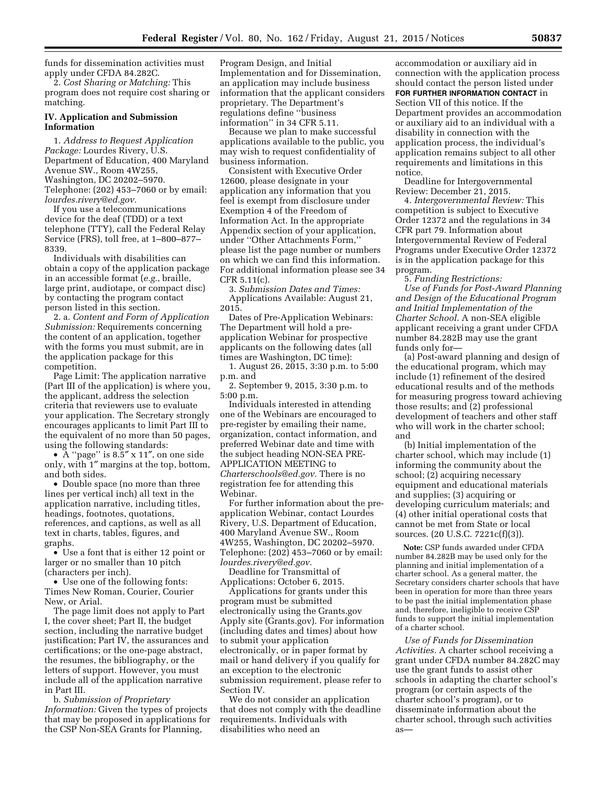funds for dissemination activities must apply under CFDA 84.282C.

2. *Cost Sharing or Matching:* This program does not require cost sharing or matching.

## **IV. Application and Submission Information**

1. *Address to Request Application Package:* Lourdes Rivery, U.S. Department of Education, 400 Maryland Avenue SW., Room 4W255, Washington, DC 20202–5970. Telephone: (202) 453–7060 or by email: *[lourdes.rivery@ed.gov.](mailto:lourdes.rivery@ed.gov)* 

If you use a telecommunications device for the deaf (TDD) or a text telephone (TTY), call the Federal Relay Service (FRS), toll free, at 1–800–877– 8339.

Individuals with disabilities can obtain a copy of the application package in an accessible format (*e.g.*, braille, large print, audiotape, or compact disc) by contacting the program contact person listed in this section.

2. a. *Content and Form of Application Submission:* Requirements concerning the content of an application, together with the forms you must submit, are in the application package for this competition.

Page Limit: The application narrative (Part III of the application) is where you, the applicant, address the selection criteria that reviewers use to evaluate your application. The Secretary strongly encourages applicants to limit Part III to the equivalent of no more than 50 pages, using the following standards:

• A ''page'' is 8.5″ x 11″, on one side only, with 1″ margins at the top, bottom, and both sides.

• Double space (no more than three lines per vertical inch) all text in the application narrative, including titles, headings, footnotes, quotations, references, and captions, as well as all text in charts, tables, figures, and graphs.

• Use a font that is either 12 point or larger or no smaller than 10 pitch (characters per inch).

• Use one of the following fonts: Times New Roman, Courier, Courier New, or Arial.

The page limit does not apply to Part I, the cover sheet; Part II, the budget section, including the narrative budget justification; Part IV, the assurances and certifications; or the one-page abstract, the resumes, the bibliography, or the letters of support. However, you must include all of the application narrative in Part III.

b. *Submission of Proprietary Information:* Given the types of projects that may be proposed in applications for the CSP Non-SEA Grants for Planning,

Program Design, and Initial Implementation and for Dissemination, an application may include business information that the applicant considers proprietary. The Department's regulations define ''business information'' in 34 CFR 5.11.

Because we plan to make successful applications available to the public, you may wish to request confidentiality of business information.

Consistent with Executive Order 12600, please designate in your application any information that you feel is exempt from disclosure under Exemption 4 of the Freedom of Information Act. In the appropriate Appendix section of your application, under ''Other Attachments Form,'' please list the page number or numbers on which we can find this information. For additional information please see 34 CFR 5.11(c).

3. *Submission Dates and Times:*  Applications Available: August 21, 2015.

Dates of Pre-Application Webinars: The Department will hold a preapplication Webinar for prospective applicants on the following dates (all times are Washington, DC time):

1. August 26, 2015, 3:30 p.m. to 5:00 p.m. and

2. September 9, 2015, 3:30 p.m. to 5:00 p.m.

Individuals interested in attending one of the Webinars are encouraged to pre-register by emailing their name, organization, contact information, and preferred Webinar date and time with the subject heading NON-SEA PRE-APPLICATION MEETING to *[Charterschools@ed.gov.](mailto:Charterschools@ed.gov)* There is no registration fee for attending this Webinar.

For further information about the preapplication Webinar, contact Lourdes Rivery, U.S. Department of Education, 400 Maryland Avenue SW., Room 4W255, Washington, DC 20202–5970. Telephone: (202) 453–7060 or by email: *[lourdes.rivery@ed.gov.](mailto:lourdes.rivery@ed.gov)* 

Deadline for Transmittal of Applications: October 6, 2015.

Applications for grants under this program must be submitted electronically using the Grants.gov Apply site (Grants.gov). For information (including dates and times) about how to submit your application electronically, or in paper format by mail or hand delivery if you qualify for an exception to the electronic submission requirement, please refer to Section IV.

We do not consider an application that does not comply with the deadline requirements. Individuals with disabilities who need an

accommodation or auxiliary aid in connection with the application process should contact the person listed under **FOR FURTHER INFORMATION CONTACT** in Section VII of this notice. If the Department provides an accommodation or auxiliary aid to an individual with a disability in connection with the application process, the individual's application remains subject to all other requirements and limitations in this notice.

Deadline for Intergovernmental Review: December 21, 2015.

4. *Intergovernmental Review:* This competition is subject to Executive Order 12372 and the regulations in 34 CFR part 79. Information about Intergovernmental Review of Federal Programs under Executive Order 12372 is in the application package for this program.

5. *Funding Restrictions: Use of Funds for Post-Award Planning and Design of the Educational Program and Initial Implementation of the Charter School.* A non-SEA eligible applicant receiving a grant under CFDA number 84.282B may use the grant funds only for—

(a) Post-award planning and design of the educational program, which may include (1) refinement of the desired educational results and of the methods for measuring progress toward achieving those results; and (2) professional development of teachers and other staff who will work in the charter school; and

(b) Initial implementation of the charter school, which may include (1) informing the community about the school; (2) acquiring necessary equipment and educational materials and supplies; (3) acquiring or developing curriculum materials; and (4) other initial operational costs that cannot be met from State or local sources. (20 U.S.C. 7221c(f)(3)).

**Note:** CSP funds awarded under CFDA number 84.282B may be used only for the planning and initial implementation of a charter school. As a general matter, the Secretary considers charter schools that have been in operation for more than three years to be past the initial implementation phase and, therefore, ineligible to receive CSP funds to support the initial implementation of a charter school.

*Use of Funds for Dissemination Activities.* A charter school receiving a grant under CFDA number 84.282C may use the grant funds to assist other schools in adapting the charter school's program (or certain aspects of the charter school's program), or to disseminate information about the charter school, through such activities as—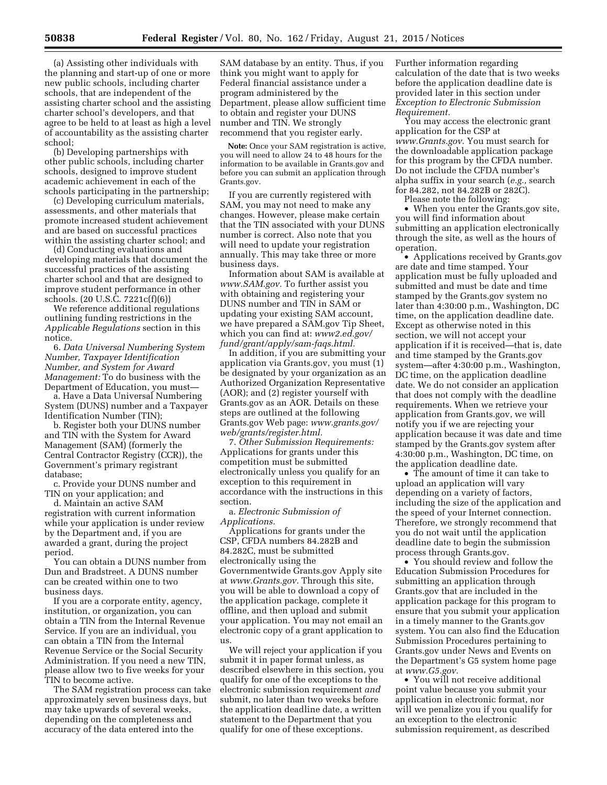(a) Assisting other individuals with the planning and start-up of one or more new public schools, including charter schools, that are independent of the assisting charter school and the assisting charter school's developers, and that agree to be held to at least as high a level of accountability as the assisting charter school;

(b) Developing partnerships with other public schools, including charter schools, designed to improve student academic achievement in each of the schools participating in the partnership;

(c) Developing curriculum materials, assessments, and other materials that promote increased student achievement and are based on successful practices within the assisting charter school; and

(d) Conducting evaluations and developing materials that document the successful practices of the assisting charter school and that are designed to improve student performance in other schools. (20 U.S.C. 7221c(f)(6))

We reference additional regulations outlining funding restrictions in the *Applicable Regulations* section in this notice.

6. *Data Universal Numbering System Number, Taxpayer Identification Number, and System for Award Management:* To do business with the Department of Education, you must—

a. Have a Data Universal Numbering System (DUNS) number and a Taxpayer Identification Number (TIN);

b. Register both your DUNS number and TIN with the System for Award Management (SAM) (formerly the Central Contractor Registry (CCR)), the Government's primary registrant database;

c. Provide your DUNS number and TIN on your application; and

d. Maintain an active SAM registration with current information while your application is under review by the Department and, if you are awarded a grant, during the project period.

You can obtain a DUNS number from Dun and Bradstreet. A DUNS number can be created within one to two business days.

If you are a corporate entity, agency, institution, or organization, you can obtain a TIN from the Internal Revenue Service. If you are an individual, you can obtain a TIN from the Internal Revenue Service or the Social Security Administration. If you need a new TIN, please allow two to five weeks for your TIN to become active.

The SAM registration process can take approximately seven business days, but may take upwards of several weeks, depending on the completeness and accuracy of the data entered into the

SAM database by an entity. Thus, if you think you might want to apply for Federal financial assistance under a program administered by the Department, please allow sufficient time to obtain and register your DUNS number and TIN. We strongly recommend that you register early.

**Note:** Once your SAM registration is active, you will need to allow 24 to 48 hours for the information to be available in Grants.gov and before you can submit an application through Grants.gov.

If you are currently registered with SAM, you may not need to make any changes. However, please make certain that the TIN associated with your DUNS number is correct. Also note that you will need to update your registration annually. This may take three or more business days.

Information about SAM is available at *[www.SAM.gov.](http://www.SAM.gov)* To further assist you with obtaining and registering your DUNS number and TIN in SAM or updating your existing SAM account, we have prepared a SAM.gov Tip Sheet, which you can find at: *[www2.ed.gov/](http://www2.ed.gov/fund/grant/apply/sam-faqs.html) [fund/grant/apply/sam-faqs.html.](http://www2.ed.gov/fund/grant/apply/sam-faqs.html)* 

In addition, if you are submitting your application via Grants.gov, you must (1) be designated by your organization as an Authorized Organization Representative (AOR); and (2) register yourself with Grants.gov as an AOR. Details on these steps are outlined at the following Grants.gov Web page: *[www.grants.gov/](http://www.grants.gov/web/grants/register.html) [web/grants/register.html.](http://www.grants.gov/web/grants/register.html)* 

7. *Other Submission Requirements:*  Applications for grants under this competition must be submitted electronically unless you qualify for an exception to this requirement in accordance with the instructions in this section.

a. *Electronic Submission of Applications.* 

Applications for grants under the CSP, CFDA numbers 84.282B and 84.282C, must be submitted electronically using the Governmentwide Grants.gov Apply site at *[www.Grants.gov.](http://www.Grants.gov)* Through this site, you will be able to download a copy of the application package, complete it offline, and then upload and submit your application. You may not email an electronic copy of a grant application to us.

We will reject your application if you submit it in paper format unless, as described elsewhere in this section, you qualify for one of the exceptions to the electronic submission requirement *and*  submit, no later than two weeks before the application deadline date, a written statement to the Department that you qualify for one of these exceptions.

Further information regarding calculation of the date that is two weeks before the application deadline date is provided later in this section under *Exception to Electronic Submission Requirement.* 

You may access the electronic grant application for the CSP at *[www.Grants.gov.](http://www.Grants.gov)* You must search for the downloadable application package for this program by the CFDA number. Do not include the CFDA number's alpha suffix in your search (*e.g.,* search for 84.282, not 84.282B or 282C).

Please note the following:

• When you enter the Grants.gov site, you will find information about submitting an application electronically through the site, as well as the hours of operation.

• Applications received by Grants.gov are date and time stamped. Your application must be fully uploaded and submitted and must be date and time stamped by the Grants.gov system no later than 4:30:00 p.m., Washington, DC time, on the application deadline date. Except as otherwise noted in this section, we will not accept your application if it is received—that is, date and time stamped by the Grants.gov system—after 4:30:00 p.m., Washington, DC time, on the application deadline date. We do not consider an application that does not comply with the deadline requirements. When we retrieve your application from Grants.gov, we will notify you if we are rejecting your application because it was date and time stamped by the Grants.gov system after 4:30:00 p.m., Washington, DC time, on the application deadline date.

• The amount of time it can take to upload an application will vary depending on a variety of factors, including the size of the application and the speed of your Internet connection. Therefore, we strongly recommend that you do not wait until the application deadline date to begin the submission process through Grants.gov.

• You should review and follow the Education Submission Procedures for submitting an application through Grants.gov that are included in the application package for this program to ensure that you submit your application in a timely manner to the Grants.gov system. You can also find the Education Submission Procedures pertaining to Grants.gov under News and Events on the Department's G5 system home page at *[www.G5.gov.](http://www.G5.gov)* 

• You will not receive additional point value because you submit your application in electronic format, nor will we penalize you if you qualify for an exception to the electronic submission requirement, as described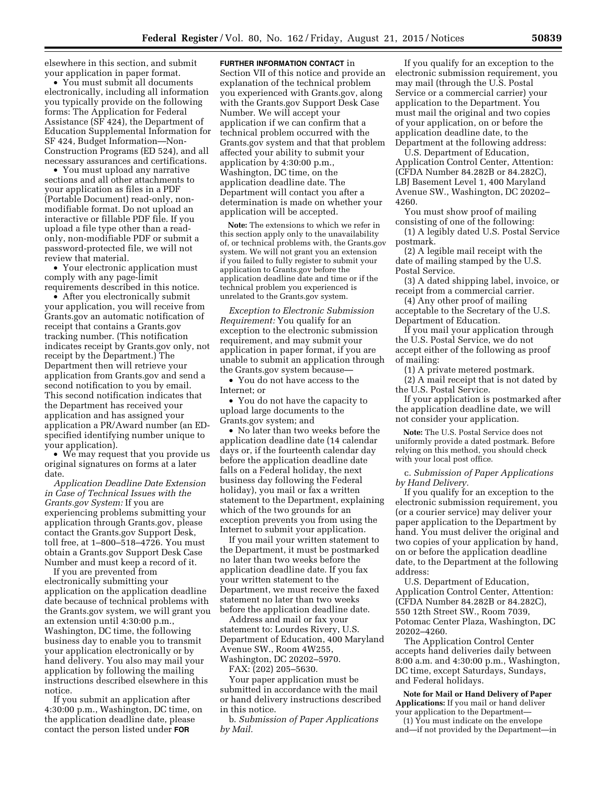elsewhere in this section, and submit your application in paper format.

• You must submit all documents electronically, including all information you typically provide on the following forms: The Application for Federal Assistance (SF 424), the Department of Education Supplemental Information for SF 424, Budget Information—Non-Construction Programs (ED 524), and all necessary assurances and certifications.

• You must upload any narrative sections and all other attachments to your application as files in a PDF (Portable Document) read-only, nonmodifiable format. Do not upload an interactive or fillable PDF file. If you upload a file type other than a readonly, non-modifiable PDF or submit a password-protected file, we will not review that material.

• Your electronic application must comply with any page-limit requirements described in this notice.

• After you electronically submit your application, you will receive from Grants.gov an automatic notification of receipt that contains a Grants.gov tracking number. (This notification indicates receipt by Grants.gov only, not receipt by the Department.) The Department then will retrieve your application from Grants.gov and send a second notification to you by email. This second notification indicates that the Department has received your application and has assigned your application a PR/Award number (an EDspecified identifying number unique to your application).

• We may request that you provide us original signatures on forms at a later date.

*Application Deadline Date Extension in Case of Technical Issues with the Grants.gov System:* If you are experiencing problems submitting your application through Grants.gov, please contact the Grants.gov Support Desk, toll free, at 1–800–518–4726. You must obtain a Grants.gov Support Desk Case Number and must keep a record of it.

If you are prevented from electronically submitting your application on the application deadline date because of technical problems with the Grants.gov system, we will grant you an extension until 4:30:00 p.m., Washington, DC time, the following business day to enable you to transmit your application electronically or by hand delivery. You also may mail your application by following the mailing instructions described elsewhere in this notice.

If you submit an application after 4:30:00 p.m., Washington, DC time, on the application deadline date, please contact the person listed under **FOR**

**FURTHER INFORMATION CONTACT** in

Section VII of this notice and provide an explanation of the technical problem you experienced with Grants.gov, along with the Grants.gov Support Desk Case Number. We will accept your application if we can confirm that a technical problem occurred with the Grants.gov system and that that problem affected your ability to submit your application by 4:30:00 p.m., Washington, DC time, on the application deadline date. The Department will contact you after a determination is made on whether your application will be accepted.

**Note:** The extensions to which we refer in this section apply only to the unavailability of, or technical problems with, the Grants.gov system. We will not grant you an extension if you failed to fully register to submit your application to Grants.gov before the application deadline date and time or if the technical problem you experienced is unrelated to the Grants.gov system.

*Exception to Electronic Submission Requirement:* You qualify for an exception to the electronic submission requirement, and may submit your application in paper format, if you are unable to submit an application through the Grants.gov system because—

• You do not have access to the Internet; or

• You do not have the capacity to upload large documents to the Grants.gov system; and

• No later than two weeks before the application deadline date (14 calendar days or, if the fourteenth calendar day before the application deadline date falls on a Federal holiday, the next business day following the Federal holiday), you mail or fax a written statement to the Department, explaining which of the two grounds for an exception prevents you from using the Internet to submit your application.

If you mail your written statement to the Department, it must be postmarked no later than two weeks before the application deadline date. If you fax your written statement to the Department, we must receive the faxed statement no later than two weeks before the application deadline date.

Address and mail or fax your statement to: Lourdes Rivery, U.S. Department of Education, 400 Maryland Avenue SW., Room 4W255, Washington, DC 20202–5970.

FAX: (202) 205–5630.

Your paper application must be submitted in accordance with the mail or hand delivery instructions described in this notice.

b. *Submission of Paper Applications by Mail.* 

If you qualify for an exception to the electronic submission requirement, you may mail (through the U.S. Postal Service or a commercial carrier) your application to the Department. You must mail the original and two copies of your application, on or before the application deadline date, to the Department at the following address:

U.S. Department of Education, Application Control Center, Attention: (CFDA Number 84.282B or 84.282C), LBJ Basement Level 1, 400 Maryland Avenue SW., Washington, DC 20202– 4260.

You must show proof of mailing consisting of one of the following:

(1) A legibly dated U.S. Postal Service postmark.

(2) A legible mail receipt with the date of mailing stamped by the U.S. Postal Service.

(3) A dated shipping label, invoice, or receipt from a commercial carrier.

(4) Any other proof of mailing acceptable to the Secretary of the U.S. Department of Education.

If you mail your application through the U.S. Postal Service, we do not accept either of the following as proof of mailing:

(1) A private metered postmark.

(2) A mail receipt that is not dated by the U.S. Postal Service.

If your application is postmarked after the application deadline date, we will not consider your application.

**Note:** The U.S. Postal Service does not uniformly provide a dated postmark. Before relying on this method, you should check with your local post office.

c. *Submission of Paper Applications by Hand Delivery.* 

If you qualify for an exception to the electronic submission requirement, you (or a courier service) may deliver your paper application to the Department by hand. You must deliver the original and two copies of your application by hand, on or before the application deadline date, to the Department at the following address:

U.S. Department of Education, Application Control Center, Attention: (CFDA Number 84.282B or 84.282C), 550 12th Street SW., Room 7039, Potomac Center Plaza, Washington, DC 20202–4260.

The Application Control Center accepts hand deliveries daily between 8:00 a.m. and 4:30:00 p.m., Washington, DC time, except Saturdays, Sundays, and Federal holidays.

**Note for Mail or Hand Delivery of Paper Applications:** If you mail or hand deliver your application to the Department—

(1) You must indicate on the envelope and—if not provided by the Department—in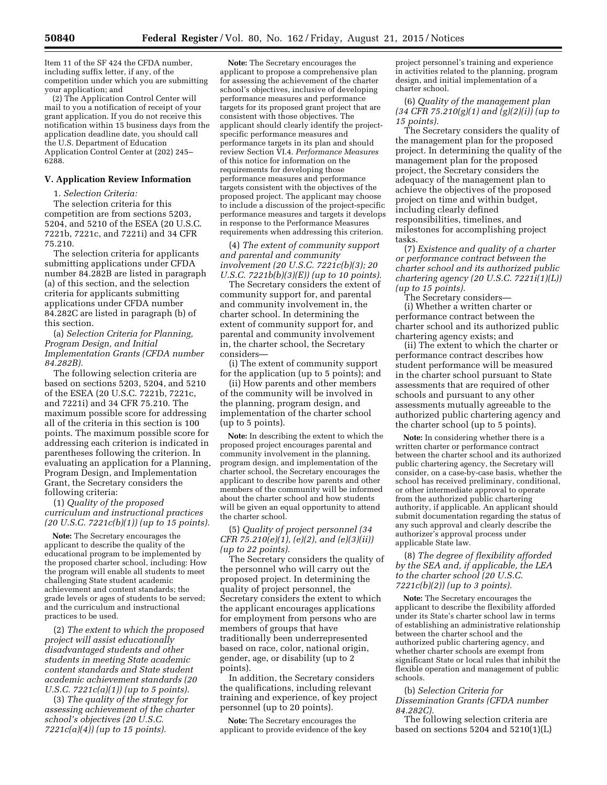Item 11 of the SF 424 the CFDA number, including suffix letter, if any, of the competition under which you are submitting your application; and

(2) The Application Control Center will mail to you a notification of receipt of your grant application. If you do not receive this notification within 15 business days from the application deadline date, you should call the U.S. Department of Education Application Control Center at (202) 245– 6288.

### **V. Application Review Information**

1. *Selection Criteria:* 

The selection criteria for this competition are from sections 5203, 5204, and 5210 of the ESEA (20 U.S.C. 7221b, 7221c, and 7221i) and 34 CFR 75.210.

The selection criteria for applicants submitting applications under CFDA number 84.282B are listed in paragraph (a) of this section, and the selection criteria for applicants submitting applications under CFDA number 84.282C are listed in paragraph (b) of this section.

(a) *Selection Criteria for Planning, Program Design, and Initial Implementation Grants (CFDA number 84.282B).* 

The following selection criteria are based on sections 5203, 5204, and 5210 of the ESEA (20 U.S.C. 7221b, 7221c, and 7221i) and 34 CFR 75.210. The maximum possible score for addressing all of the criteria in this section is 100 points. The maximum possible score for addressing each criterion is indicated in parentheses following the criterion. In evaluating an application for a Planning, Program Design, and Implementation Grant, the Secretary considers the following criteria:

(1) *Quality of the proposed curriculum and instructional practices (20 U.S.C. 7221c(b)(1)) (up to 15 points).* 

**Note:** The Secretary encourages the applicant to describe the quality of the educational program to be implemented by the proposed charter school, including: How the program will enable all students to meet challenging State student academic achievement and content standards; the grade levels or ages of students to be served; and the curriculum and instructional practices to be used.

(2) *The extent to which the proposed project will assist educationally disadvantaged students and other students in meeting State academic content standards and State student academic achievement standards (20 U.S.C. 7221c(a)(1)) (up to 5 points).* 

(3) *The quality of the strategy for assessing achievement of the charter school's objectives (20 U.S.C. 7221c(a)(4)) (up to 15 points).* 

**Note:** The Secretary encourages the applicant to propose a comprehensive plan for assessing the achievement of the charter school's objectives, inclusive of developing performance measures and performance targets for its proposed grant project that are consistent with those objectives. The applicant should clearly identify the projectspecific performance measures and performance targets in its plan and should review Section VI.4. *Performance Measures*  of this notice for information on the requirements for developing those performance measures and performance targets consistent with the objectives of the proposed project. The applicant may choose to include a discussion of the project-specific performance measures and targets it develops in response to the Performance Measures requirements when addressing this criterion.

(4) *The extent of community support and parental and community involvement (20 U.S.C. 7221c(b)(3); 20 U.S.C. 7221b(b)(3)(E)) (up to 10 points).* 

The Secretary considers the extent of community support for, and parental and community involvement in, the charter school. In determining the extent of community support for, and parental and community involvement in, the charter school, the Secretary considers—

(i) The extent of community support for the application (up to 5 points); and

(ii) How parents and other members of the community will be involved in the planning, program design, and implementation of the charter school (up to 5 points).

**Note:** In describing the extent to which the proposed project encourages parental and community involvement in the planning, program design, and implementation of the charter school, the Secretary encourages the applicant to describe how parents and other members of the community will be informed about the charter school and how students will be given an equal opportunity to attend the charter school.

(5) *Quality of project personnel (34 CFR 75.210(e)(1), (e)(2), and (e)(3)(ii)) (up to 22 points).* 

The Secretary considers the quality of the personnel who will carry out the proposed project. In determining the quality of project personnel, the Secretary considers the extent to which the applicant encourages applications for employment from persons who are members of groups that have traditionally been underrepresented based on race, color, national origin, gender, age, or disability (up to 2 points).

In addition, the Secretary considers the qualifications, including relevant training and experience, of key project personnel (up to 20 points).

**Note:** The Secretary encourages the applicant to provide evidence of the key

project personnel's training and experience in activities related to the planning, program design, and initial implementation of a charter school.

(6) *Quality of the management plan (34 CFR 75.210(g)(1) and (g)(2)(i)) (up to 15 points).* 

The Secretary considers the quality of the management plan for the proposed project. In determining the quality of the management plan for the proposed project, the Secretary considers the adequacy of the management plan to achieve the objectives of the proposed project on time and within budget, including clearly defined responsibilities, timelines, and milestones for accomplishing project tasks.

(7) *Existence and quality of a charter or performance contract between the charter school and its authorized public chartering agency (20 U.S.C. 7221i(1)(L)) (up to 15 points).* 

The Secretary considers—

(i) Whether a written charter or performance contract between the charter school and its authorized public chartering agency exists; and

(ii) The extent to which the charter or performance contract describes how student performance will be measured in the charter school pursuant to State assessments that are required of other schools and pursuant to any other assessments mutually agreeable to the authorized public chartering agency and the charter school (up to 5 points).

**Note:** In considering whether there is a written charter or performance contract between the charter school and its authorized public chartering agency, the Secretary will consider, on a case-by-case basis, whether the school has received preliminary, conditional, or other intermediate approval to operate from the authorized public chartering authority, if applicable. An applicant should submit documentation regarding the status of any such approval and clearly describe the authorizer's approval process under applicable State law.

(8) *The degree of flexibility afforded by the SEA and, if applicable, the LEA to the charter school (20 U.S.C. 7221c(b)(2)) (up to 3 points).* 

**Note:** The Secretary encourages the applicant to describe the flexibility afforded under its State's charter school law in terms of establishing an administrative relationship between the charter school and the authorized public chartering agency, and whether charter schools are exempt from significant State or local rules that inhibit the flexible operation and management of public schools.

(b) *Selection Criteria for Dissemination Grants (CFDA number 84.282C).* 

The following selection criteria are based on sections  $5204$  and  $5210(1)(L)$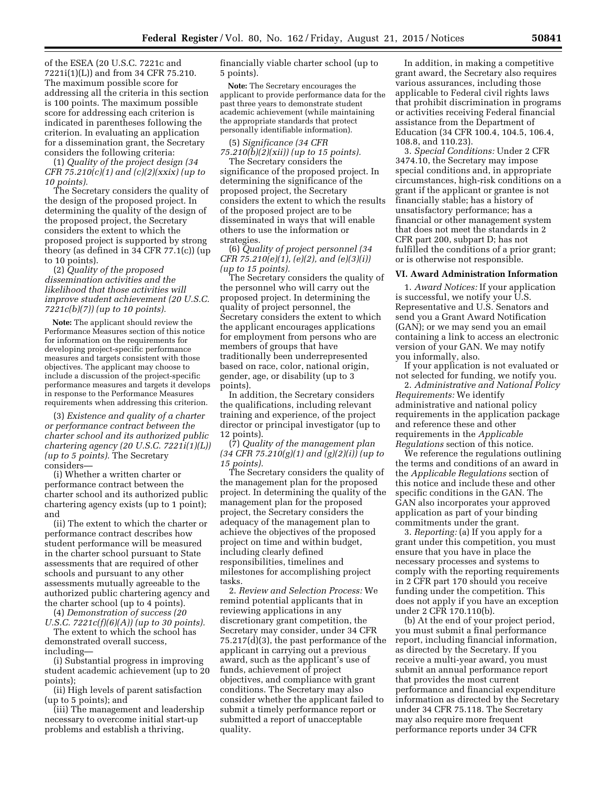of the ESEA (20 U.S.C. 7221c and 7221i(1)(L)) and from 34 CFR 75.210. The maximum possible score for addressing all the criteria in this section is 100 points. The maximum possible score for addressing each criterion is indicated in parentheses following the criterion. In evaluating an application for a dissemination grant, the Secretary considers the following criteria:

(1) *Quality of the project design (34 CFR 75.210(c)(1) and (c)(2)(xxix) (up to 10 points).* 

The Secretary considers the quality of the design of the proposed project. In determining the quality of the design of the proposed project, the Secretary considers the extent to which the proposed project is supported by strong theory (as defined in 34 CFR 77.1(c)) (up to 10 points).

# (2) *Quality of the proposed dissemination activities and the likelihood that those activities will improve student achievement (20 U.S.C. 7221c(b)(7)) (up to 10 points).*

**Note:** The applicant should review the Performance Measures section of this notice for information on the requirements for developing project-specific performance measures and targets consistent with those objectives. The applicant may choose to include a discussion of the project-specific performance measures and targets it develops in response to the Performance Measures requirements when addressing this criterion.

(3) *Existence and quality of a charter or performance contract between the charter school and its authorized public chartering agency (20 U.S.C. 7221i(1)(L)) (up to 5 points).* The Secretary considers—

(i) Whether a written charter or performance contract between the charter school and its authorized public chartering agency exists (up to 1 point); and

(ii) The extent to which the charter or performance contract describes how student performance will be measured in the charter school pursuant to State assessments that are required of other schools and pursuant to any other assessments mutually agreeable to the authorized public chartering agency and the charter school (up to 4 points).

(4) *Demonstration of success (20 U.S.C. 7221c(f)(6)(A)) (up to 30 points).* 

The extent to which the school has demonstrated overall success,

including—

(i) Substantial progress in improving student academic achievement (up to 20 points);

(ii) High levels of parent satisfaction (up to 5 points); and

(iii) The management and leadership necessary to overcome initial start-up problems and establish a thriving,

financially viable charter school (up to 5 points).

**Note:** The Secretary encourages the applicant to provide performance data for the past three years to demonstrate student academic achievement (while maintaining the appropriate standards that protect personally identifiable information).

(5) *Significance (34 CFR 75.210(b)(2)(xii)) (up to 15 points).* 

The Secretary considers the significance of the proposed project. In determining the significance of the proposed project, the Secretary considers the extent to which the results of the proposed project are to be disseminated in ways that will enable others to use the information or strategies.

(6) *Quality of project personnel (34 CFR 75.210(e)(1), (e)(2), and (e)(3)(i)) (up to 15 points).* 

The Secretary considers the quality of the personnel who will carry out the proposed project. In determining the quality of project personnel, the Secretary considers the extent to which the applicant encourages applications for employment from persons who are members of groups that have traditionally been underrepresented based on race, color, national origin, gender, age, or disability (up to 3 points).

In addition, the Secretary considers the qualifications, including relevant training and experience, of the project director or principal investigator (up to 12 points).

(7) *Quality of the management plan (34 CFR 75.210(g)(1) and (g)(2)(i)) (up to 15 points).* 

The Secretary considers the quality of the management plan for the proposed project. In determining the quality of the management plan for the proposed project, the Secretary considers the adequacy of the management plan to achieve the objectives of the proposed project on time and within budget, including clearly defined responsibilities, timelines and milestones for accomplishing project tasks.

2. *Review and Selection Process:* We remind potential applicants that in reviewing applications in any discretionary grant competition, the Secretary may consider, under 34 CFR 75.217(d)(3), the past performance of the applicant in carrying out a previous award, such as the applicant's use of funds, achievement of project objectives, and compliance with grant conditions. The Secretary may also consider whether the applicant failed to submit a timely performance report or submitted a report of unacceptable quality.

In addition, in making a competitive grant award, the Secretary also requires various assurances, including those applicable to Federal civil rights laws that prohibit discrimination in programs or activities receiving Federal financial assistance from the Department of Education (34 CFR 100.4, 104.5, 106.4, 108.8, and 110.23).

3. *Special Conditions:* Under 2 CFR 3474.10, the Secretary may impose special conditions and, in appropriate circumstances, high-risk conditions on a grant if the applicant or grantee is not financially stable; has a history of unsatisfactory performance; has a financial or other management system that does not meet the standards in 2 CFR part 200, subpart D; has not fulfilled the conditions of a prior grant; or is otherwise not responsible.

#### **VI. Award Administration Information**

1. *Award Notices:* If your application is successful, we notify your U.S. Representative and U.S. Senators and send you a Grant Award Notification (GAN); or we may send you an email containing a link to access an electronic version of your GAN. We may notify you informally, also.

If your application is not evaluated or not selected for funding, we notify you.

2. *Administrative and National Policy Requirements:* We identify administrative and national policy requirements in the application package and reference these and other requirements in the *Applicable Regulations* section of this notice.

We reference the regulations outlining the terms and conditions of an award in the *Applicable Regulations* section of this notice and include these and other specific conditions in the GAN. The GAN also incorporates your approved application as part of your binding commitments under the grant.

3. *Reporting:* (a) If you apply for a grant under this competition, you must ensure that you have in place the necessary processes and systems to comply with the reporting requirements in 2 CFR part 170 should you receive funding under the competition. This does not apply if you have an exception under 2 CFR 170.110(b).

(b) At the end of your project period, you must submit a final performance report, including financial information, as directed by the Secretary. If you receive a multi-year award, you must submit an annual performance report that provides the most current performance and financial expenditure information as directed by the Secretary under 34 CFR 75.118. The Secretary may also require more frequent performance reports under 34 CFR